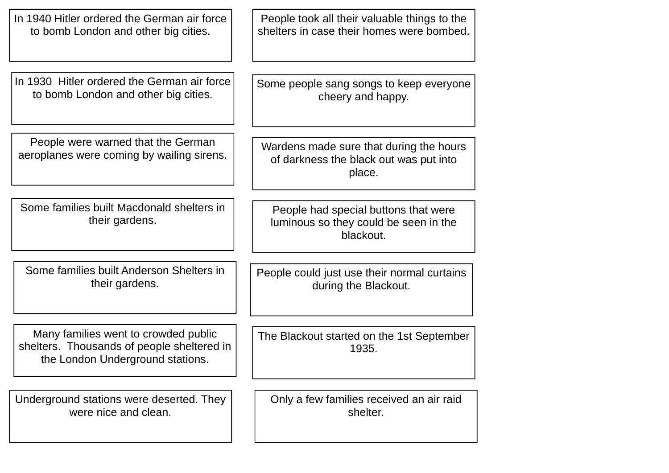| In 1940 Hitler ordered the German air force                                                                            | People took all their valuable things to the                                                |
|------------------------------------------------------------------------------------------------------------------------|---------------------------------------------------------------------------------------------|
| to bomb London and other big cities.                                                                                   | shelters in case their homes were bombed.                                                   |
| In 1930 Hitler ordered the German air force                                                                            | Some people sang songs to keep everyone                                                     |
| to bomb London and other big cities.                                                                                   | cheery and happy.                                                                           |
| People were warned that the German<br>aeroplanes were coming by wailing sirens.                                        | Wardens made sure that during the hours<br>of darkness the black out was put into<br>place. |
| Some families built Macdonald shelters in<br>their gardens.                                                            | People had special buttons that were<br>luminous so they could be seen in the<br>blackout.  |
| Some families built Anderson Shelters in                                                                               | People could just use their normal curtains                                                 |
| their gardens.                                                                                                         | during the Blackout.                                                                        |
| Many families went to crowded public<br>shelters. Thousands of people sheltered in<br>the London Underground stations. | The Blackout started on the 1st September<br>1935.                                          |
| Underground stations were deserted. They                                                                               | Only a few families received an air raid                                                    |
| were nice and clean.                                                                                                   | shelter.                                                                                    |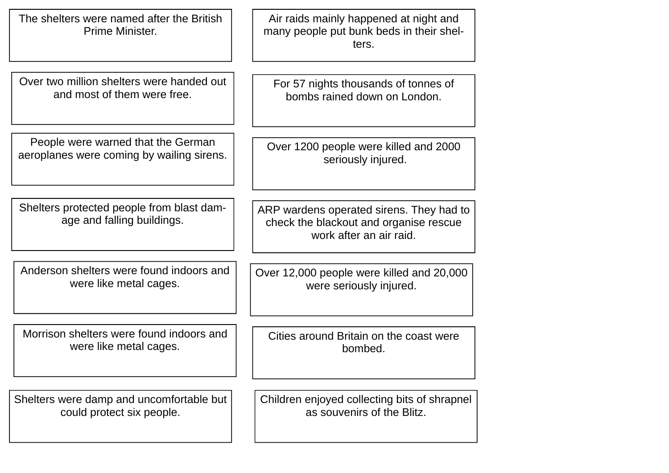| The shelters were named after the British<br>Prime Minister.            | Air raids mainly happened at night and<br>many people put bunk beds in their shel-<br>ters.                   |
|-------------------------------------------------------------------------|---------------------------------------------------------------------------------------------------------------|
| Over two million shelters were handed out                               | For 57 nights thousands of tonnes of                                                                          |
| and most of them were free.                                             | bombs rained down on London.                                                                                  |
| People were warned that the German                                      | Over 1200 people were killed and 2000                                                                         |
| aeroplanes were coming by wailing sirens.                               | seriously injured.                                                                                            |
| Shelters protected people from blast dam-<br>age and falling buildings. | ARP wardens operated sirens. They had to<br>check the blackout and organise rescue<br>work after an air raid. |
| Anderson shelters were found indoors and                                | Over 12,000 people were killed and 20,000                                                                     |
| were like metal cages.                                                  | were seriously injured.                                                                                       |
| Morrison shelters were found indoors and                                | Cities around Britain on the coast were                                                                       |
| were like metal cages.                                                  | bombed.                                                                                                       |
| Shelters were damp and uncomfortable but                                | Children enjoyed collecting bits of shrapnel                                                                  |
| could protect six people.                                               | as souvenirs of the Blitz.                                                                                    |